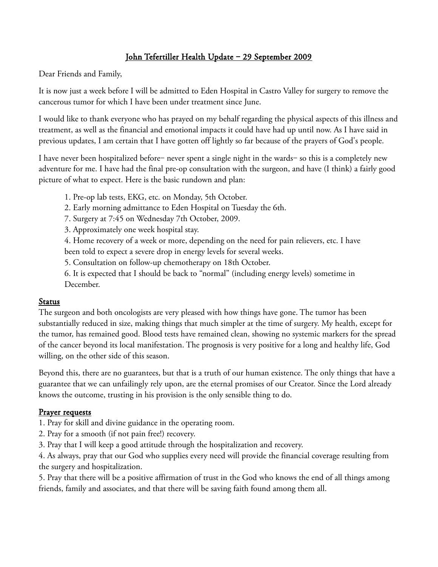## John Tefertiller Health Update - 29 September 2009

Dear Friends and Family,

It is now just a week before I will be admitted to Eden Hospital in Castro Valley for surgery to remove the cancerous tumor for which I have been under treatment since June.

I would like to thank everyone who has prayed on my behalf regarding the physical aspects of this illness and treatment, as well as the financial and emotional impacts it could have had up until now. As I have said in previous updates, I am certain that I have gotten off lightly so far because of the prayers of God's people.

I have never been hospitalized before– never spent a single night in the wards– so this is a completely new adventure for me. I have had the final pre-op consultation with the surgeon, and have (I think) a fairly good picture of what to expect. Here is the basic rundown and plan:

1. Pre-op lab tests, EKG, etc. on Monday, 5th October.

2. Early morning admittance to Eden Hospital on Tuesday the 6th.

7. Surgery at 7:45 on Wednesday 7th October, 2009.

3. Approximately one week hospital stay.

4. Home recovery of a week or more, depending on the need for pain relievers, etc. I have been told to expect a severe drop in energy levels for several weeks.

5. Consultation on follow-up chemotherapy on 18th October.

6. It is expected that I should be back to "normal" (including energy levels) sometime in December.

## Status

The surgeon and both oncologists are very pleased with how things have gone. The tumor has been substantially reduced in size, making things that much simpler at the time of surgery. My health, except for the tumor, has remained good. Blood tests have remained clean, showing no systemic markers for the spread of the cancer beyond its local manifestation. The prognosis is very positive for a long and healthy life, God willing, on the other side of this season.

Beyond this, there are no guarantees, but that is a truth of our human existence. The only things that have a guarantee that we can unfailingly rely upon, are the eternal promises of our Creator. Since the Lord already knows the outcome, trusting in his provision is the only sensible thing to do.

## Prayer requests

1. Pray for skill and divine guidance in the operating room.

- 2. Pray for a smooth (if not pain free!) recovery.
- 3. Pray that I will keep a good attitude through the hospitalization and recovery.

4. As always, pray that our God who supplies every need will provide the financial coverage resulting from the surgery and hospitalization.

5. Pray that there will be a positive affirmation of trust in the God who knows the end of all things among friends, family and associates, and that there will be saving faith found among them all.